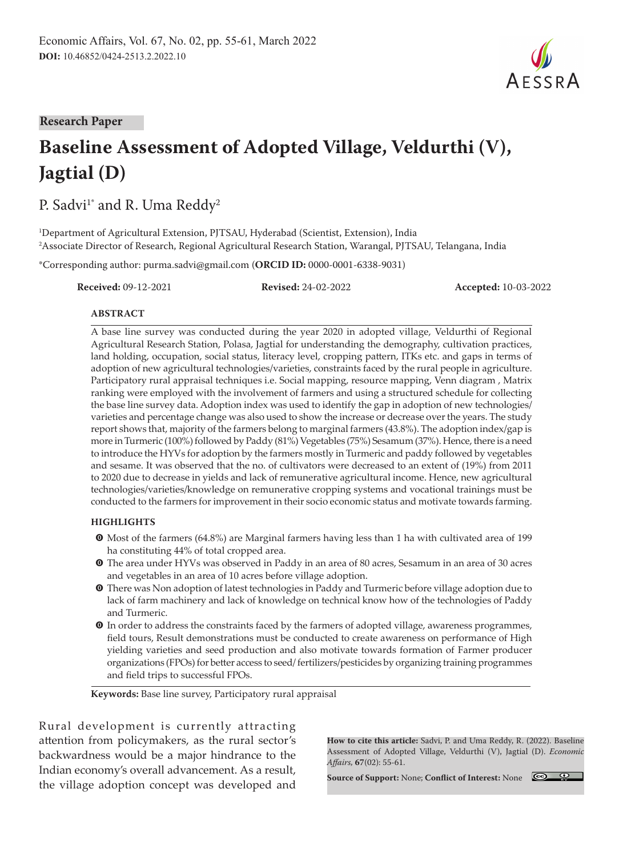

# **Baseline Assessment of Adopted Village, Veldurthi (V), Jagtial (D)**

P. Sadvi<sup>1\*</sup> and R. Uma Reddy<sup>2</sup>

1 Department of Agricultural Extension, PJTSAU, Hyderabad (Scientist, Extension), India 2 Associate Director of Research, Regional Agricultural Research Station, Warangal, PJTSAU, Telangana, India

\*Corresponding author: purma.sadvi@gmail.com (**ORCID ID:** 0000-0001-6338-9031)

**Received:** 09-12-2021 **Revised:** 24-02-2022 **Accepted:** 10-03-2022

#### **ABSTRACT**

A base line survey was conducted during the year 2020 in adopted village, Veldurthi of Regional Agricultural Research Station, Polasa, Jagtial for understanding the demography, cultivation practices, land holding, occupation, social status, literacy level, cropping pattern, ITKs etc. and gaps in terms of adoption of new agricultural technologies/varieties, constraints faced by the rural people in agriculture. Participatory rural appraisal techniques i.e. Social mapping, resource mapping, Venn diagram , Matrix ranking were employed with the involvement of farmers and using a structured schedule for collecting the base line survey data. Adoption index was used to identify the gap in adoption of new technologies/ varieties and percentage change was also used to show the increase or decrease over the years. The study report shows that, majority of the farmers belong to marginal farmers (43.8%). The adoption index/gap is more in Turmeric (100%) followed by Paddy (81%) Vegetables (75%) Sesamum (37%). Hence, there is a need to introduce the HYVs for adoption by the farmers mostly in Turmeric and paddy followed by vegetables and sesame. It was observed that the no. of cultivators were decreased to an extent of (19%) from 2011 to 2020 due to decrease in yields and lack of remunerative agricultural income. Hence, new agricultural technologies/varieties/knowledge on remunerative cropping systems and vocational trainings must be conducted to the farmers for improvement in their socio economic status and motivate towards farming.

#### **HIGHLIGHTS**

- m Most of the farmers (64.8%) are Marginal farmers having less than 1 ha with cultivated area of 199 ha constituting 44% of total cropped area.
- m The area under HYVs was observed in Paddy in an area of 80 acres, Sesamum in an area of 30 acres and vegetables in an area of 10 acres before village adoption.
- **O** There was Non adoption of latest technologies in Paddy and Turmeric before village adoption due to lack of farm machinery and lack of knowledge on technical know how of the technologies of Paddy and Turmeric.
- $\bullet$  In order to address the constraints faced by the farmers of adopted village, awareness programmes, field tours, Result demonstrations must be conducted to create awareness on performance of High yielding varieties and seed production and also motivate towards formation of Farmer producer organizations (FPOs) for better access to seed/ fertilizers/pesticides by organizing training programmes and field trips to successful FPOs.

**Keywords:** Base line survey, Participatory rural appraisal

Rural development is currently attracting attention from policymakers, as the rural sector's backwardness would be a major hindrance to the Indian economy's overall advancement. As a result, the village adoption concept was developed and

**How to cite this article:** Sadvi, P. and Uma Reddy, R. (2022). Baseline Assessment of Adopted Village, Veldurthi (V), Jagtial (D). *Economic Affairs,* **67**(02): 55-61.

**Source of Support:** None; **Conflict of Interest:** None



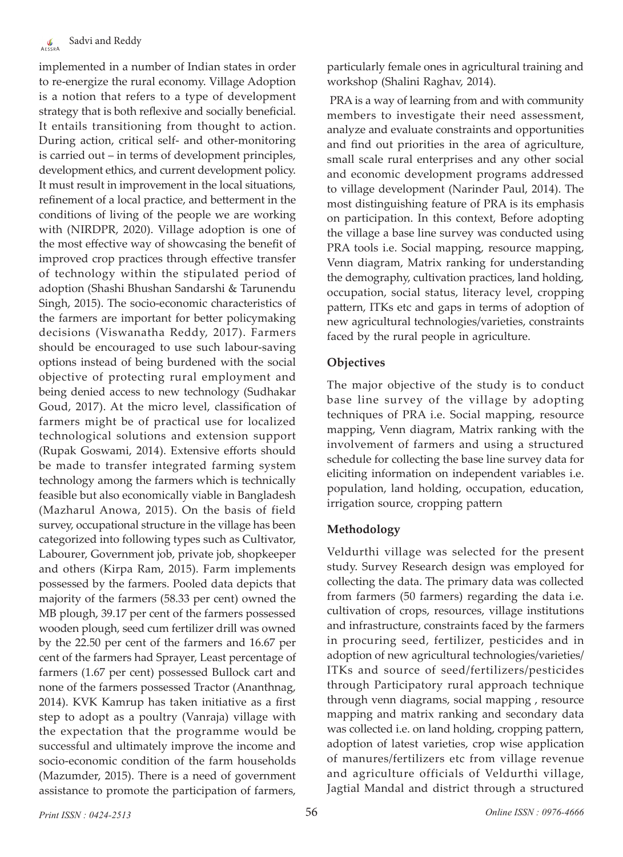implemented in a number of Indian states in order to re-energize the rural economy. Village Adoption is a notion that refers to a type of development strategy that is both reflexive and socially beneficial. It entails transitioning from thought to action. During action, critical self- and other-monitoring is carried out – in terms of development principles, development ethics, and current development policy. It must result in improvement in the local situations, refinement of a local practice, and betterment in the conditions of living of the people we are working with (NIRDPR, 2020). Village adoption is one of the most effective way of showcasing the benefit of improved crop practices through effective transfer of technology within the stipulated period of adoption (Shashi Bhushan Sandarshi & Tarunendu Singh, 2015). The socio-economic characteristics of the farmers are important for better policymaking decisions (Viswanatha Reddy, 2017). Farmers should be encouraged to use such labour-saving options instead of being burdened with the social objective of protecting rural employment and being denied access to new technology (Sudhakar Goud, 2017). At the micro level, classification of farmers might be of practical use for localized technological solutions and extension support (Rupak Goswami, 2014). Extensive efforts should be made to transfer integrated farming system technology among the farmers which is technically feasible but also economically viable in Bangladesh (Mazharul Anowa, 2015). On the basis of field survey, occupational structure in the village has been categorized into following types such as Cultivator, Labourer, Government job, private job, shopkeeper and others (Kirpa Ram, 2015). Farm implements possessed by the farmers. Pooled data depicts that majority of the farmers (58.33 per cent) owned the MB plough, 39.17 per cent of the farmers possessed wooden plough, seed cum fertilizer drill was owned by the 22.50 per cent of the farmers and 16.67 per cent of the farmers had Sprayer, Least percentage of farmers (1.67 per cent) possessed Bullock cart and none of the farmers possessed Tractor (Ananthnag, 2014). KVK Kamrup has taken initiative as a first step to adopt as a poultry (Vanraja) village with the expectation that the programme would be successful and ultimately improve the income and socio-economic condition of the farm households (Mazumder, 2015). There is a need of government assistance to promote the participation of farmers,

particularly female ones in agricultural training and workshop (Shalini Raghav, 2014).

 PRA is a way of learning from and with community members to investigate their need assessment, analyze and evaluate constraints and opportunities and find out priorities in the area of agriculture, small scale rural enterprises and any other social and economic development programs addressed to village development (Narinder Paul, 2014). The most distinguishing feature of PRA is its emphasis on participation. In this context, Before adopting the village a base line survey was conducted using PRA tools i.e. Social mapping, resource mapping, Venn diagram, Matrix ranking for understanding the demography, cultivation practices, land holding, occupation, social status, literacy level, cropping pattern, ITKs etc and gaps in terms of adoption of new agricultural technologies/varieties, constraints faced by the rural people in agriculture.

### **Objectives**

The major objective of the study is to conduct base line survey of the village by adopting techniques of PRA i.e. Social mapping, resource mapping, Venn diagram, Matrix ranking with the involvement of farmers and using a structured schedule for collecting the base line survey data for eliciting information on independent variables i.e. population, land holding, occupation, education, irrigation source, cropping pattern

### **Methodology**

Veldurthi village was selected for the present study. Survey Research design was employed for collecting the data. The primary data was collected from farmers (50 farmers) regarding the data i.e. cultivation of crops, resources, village institutions and infrastructure, constraints faced by the farmers in procuring seed, fertilizer, pesticides and in adoption of new agricultural technologies/varieties/ ITKs and source of seed/fertilizers/pesticides through Participatory rural approach technique through venn diagrams, social mapping , resource mapping and matrix ranking and secondary data was collected i.e. on land holding, cropping pattern, adoption of latest varieties, crop wise application of manures/fertilizers etc from village revenue and agriculture officials of Veldurthi village, Jagtial Mandal and district through a structured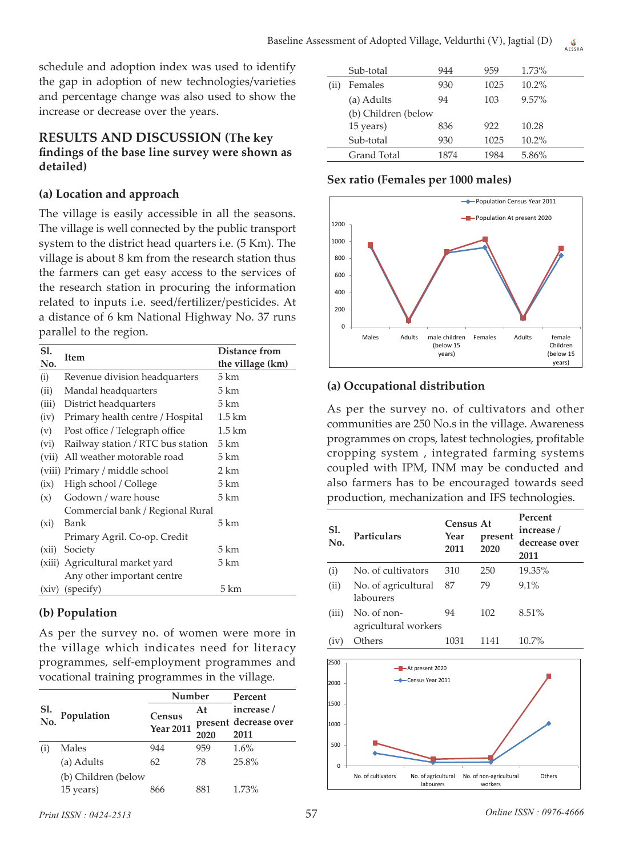schedule and adoption index was used to identify the gap in adoption of new technologies/varieties and percentage change was also used to show the increase or decrease over the years.

## **RESULTS AND DISCUSSION (The key findings of the base line survey were shown as detailed)**

## **(a) Location and approach**

The village is easily accessible in all the seasons. The village is well connected by the public transport system to the district head quarters i.e. (5 Km). The village is about 8 km from the research station thus the farmers can get easy access to the services of the research station in procuring the information related to inputs i.e. seed/fertilizer/pesticides. At a distance of 6 km National Highway No. 37 runs parallel to the region.

| S1.   |                                   | Distance from     |
|-------|-----------------------------------|-------------------|
| No.   | Item                              | the village (km)  |
| (i)   | Revenue division headquarters     | 5 km              |
| (ii)  | Mandal headquarters               | 5 km              |
| (iii) | District headquarters             | 5 km              |
| (iv)  | Primary health centre / Hospital  | $1.5 \text{ km}$  |
| (v)   | Post office / Telegraph office    | $1.5 \mathrm{km}$ |
| (vi)  | Railway station / RTC bus station | $5 \mathrm{km}$   |
| (vii) | All weather motorable road        | 5 km              |
|       | (viii) Primary / middle school    | 2 km              |
| (ix)  | High school / College             | 5 km              |
| (x)   | Godown / ware house               | 5 km              |
|       | Commercial bank / Regional Rural  |                   |
| (xi)  | Bank                              | 5 km              |
|       | Primary Agril. Co-op. Credit      |                   |
| (xii) | Society                           | 5 km              |
|       | (xiii) Agricultural market yard   | 5 km              |
|       | Any other important centre        |                   |
| (xiv) | (specify)                         | 5 km              |

## **(b) Population**

As per the survey no. of women were more in the village which indicates need for literacy programmes, self-employment programmes and vocational training programmes in the village.

|            | Population          | Number           |      | Percent               |  |
|------------|---------------------|------------------|------|-----------------------|--|
| Sl.<br>No. |                     | Census           | At   | increase /            |  |
|            |                     | <b>Year 2011</b> |      | present decrease over |  |
|            |                     |                  | 2020 | 2011                  |  |
| (1)        | Males               | 944              | 959  | 1.6%                  |  |
|            | (a) Adults          | 62               | 78   | 25.8%                 |  |
|            | (b) Children (below |                  |      |                       |  |
|            | 15 years)           | 866              | 881  | 1.73%                 |  |

|      | Sub-total           | 944  | 959  | 1.73%    |
|------|---------------------|------|------|----------|
| (11) | Females             | 930  | 1025 | $10.2\%$ |
|      | (a) Adults          | 94   | 103  | $9.57\%$ |
|      | (b) Children (below |      |      |          |
|      | 15 years)           | 836  | 922  | 10.28    |
|      | Sub-total           | 930  | 1025 | $10.2\%$ |
|      | <b>Grand Total</b>  | 1874 | 1984 | 5.86%    |

## **Sex ratio (Females per 1000 males)**



## **(a) Occupational distribution**

As per the survey no. of cultivators and other communities are 250 No.s in the village. Awareness programmes on crops, latest technologies, profitable cropping system , integrated farming systems coupled with IPM, INM may be conducted and also farmers has to be encouraged towards seed production, mechanization and IFS technologies.

| Sl.<br>No. | Particulars                         | <b>Census At</b><br>Year<br>2011 | present<br>2020 | Percent<br>increase /<br>decrease over<br>2011 |
|------------|-------------------------------------|----------------------------------|-----------------|------------------------------------------------|
| (i)        | No. of cultivators                  | 310                              | 250             | 19.35%                                         |
| (ii)       | No. of agricultural<br>labourers    | 87                               | 79              | 9.1%                                           |
| (iii)      | No. of non-<br>agricultural workers | 94                               | 102             | 8.51%                                          |
| (iv)       | Others                              | 1031                             | 1141            | 10.7%                                          |



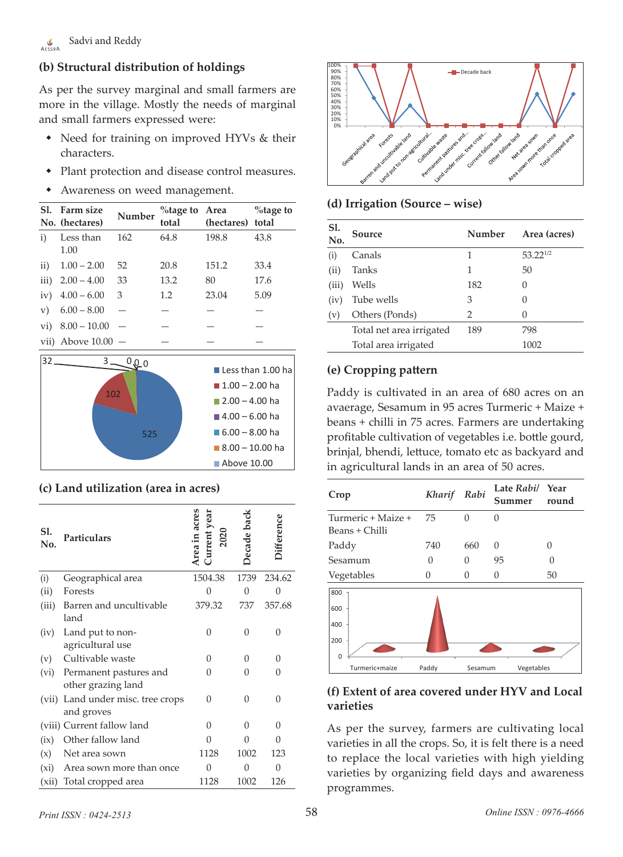## **(b) Structural distribution of holdings**

As per the survey marginal and small farmers are more in the village. Mostly the needs of marginal and small farmers expressed were:

- Need for training on improved HYVs & their characters.
- Plant protection and disease control measures.
- Awareness on weed management.

| SI.          | Farm size<br>No. (hectares) | Number | %tage to Area<br>total | (hectares) total | $\%$ tage to |
|--------------|-----------------------------|--------|------------------------|------------------|--------------|
| $\mathbf{i}$ | Less than<br>1.00           | 162    | 64.8                   | 198.8            | 43.8         |
| $\rm ii)$    | $1.00 - 2.00$               | 52     | 20.8                   | 151.2            | 33.4         |
| iii)         | $2.00 - 4.00$               | 33     | 13.2                   | 80               | 17.6         |
| iv)          | $4.00 - 6.00$               | 3      | 1.2                    | 23.04            | 5.09         |
| V)           | $6.00 - 8.00$               |        |                        |                  |              |
| $\rm{vi)}$   | $8.00 - 10.00$              |        |                        |                  |              |
|              | vii) Above $10.00 -$        |        |                        |                  |              |



## **(c) Land utilization (area in acres)**

| Sl.<br>No. | <b>Particulars</b>                                | Area in acres<br>Current year<br>2020 | Decade bac | lifference |
|------------|---------------------------------------------------|---------------------------------------|------------|------------|
| (i)        | Geographical area                                 | 1504.38                               | 1739       | 234.62     |
| (ii)       | Forests                                           | $\Omega$                              | $\Omega$   | 0          |
| (iii)      | Barren and uncultivable<br>land                   | 379.32                                | 737        | 357.68     |
| (iv)       | Land put to non-<br>agricultural use              | 0                                     | $\Omega$   | 0          |
| (v)        | Cultivable waste                                  | 0                                     | O          | O          |
|            | (vi) Permanent pastures and<br>other grazing land | $\mathbf{0}$                          | 0          | 0          |
| (vii)      | Land under misc. tree crops<br>and groves         | $\Omega$                              | 0          | 0          |
|            | (viii) Current fallow land                        | 0                                     | 0          | O          |
| (ix)       | Other fallow land                                 | $\Omega$                              | O          | 0          |
| (x)        | Net area sown                                     | 1128                                  | 1002       | 123        |
| (xi)       | Area sown more than once                          | 0                                     | 0          | 0          |
| (xii)      | Total cropped area                                | 1128                                  | 1002       | 126        |



#### **(d) Irrigation (Source – wise)**

| Sl.<br>No. | Source                   | Number | Area (acres)  |
|------------|--------------------------|--------|---------------|
| (i)        | Canals                   | 1      | $53.22^{1/2}$ |
| (ii)       | Tanks                    | 1      | 50            |
| (iii)      | Wells                    | 182    | 0             |
| (iv)       | Tube wells               | З      |               |
| (v)        | Others (Ponds)           | 2      | 0             |
|            | Total net area irrigated | 189    | 798           |
|            | Total area irrigated     |        | 1002          |

## **(e) Cropping pattern**

Paddy is cultivated in an area of 680 acres on an avaerage, Sesamum in 95 acres Turmeric + Maize + beans + chilli in 75 acres. Farmers are undertaking profitable cultivation of vegetables i.e. bottle gourd, brinjal, bhendi, lettuce, tomato etc as backyard and in agricultural lands in an area of 50 acres.

| Crop                                 | Kharif Rabi |          | Late Rabi/ Year<br>Summer round |    |
|--------------------------------------|-------------|----------|---------------------------------|----|
| Turmeric + Maize +<br>Beans + Chilli | 75          | $\Omega$ | 0                               |    |
| Paddy                                | 740         | 660      | $\Omega$                        | 0  |
| Sesamum                              | 0           | 0        | 95                              |    |
| Vegetables                           | O           | 0        | O                               | 50 |
| 800<br>600<br>400<br>200<br>$\Omega$ |             |          |                                 |    |
| Turmeric+maize                       | Paddy       | Sesamum  | Vegetables                      |    |

## **(f) Extent of area covered under HYV and Local varieties**

As per the survey, farmers are cultivating local varieties in all the crops. So, it is felt there is a need to replace the local varieties with high yielding varieties by organizing field days and awareness programmes.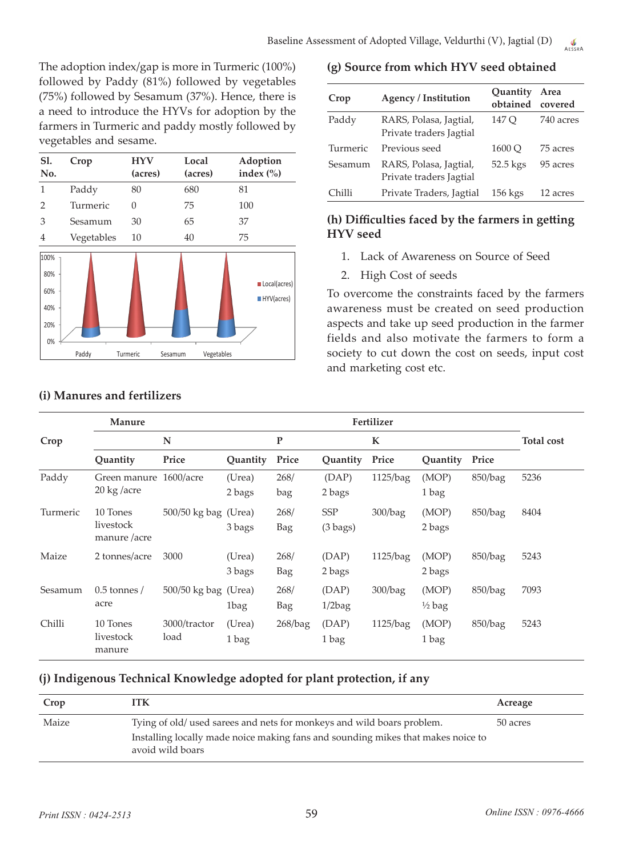The adoption index/gap is more in Turmeric (100%) followed by Paddy (81%) followed by vegetables (75%) followed by Sesamum (37%). Hence, there is a need to introduce the HYVs for adoption by the farmers in Turmeric and paddy mostly followed by vegetables and sesame.

| S1.<br>No.                             | Crop       | HYV<br>(acres) | Local<br>(acres)      | Adoption<br>index $\left(\% \right)$ |
|----------------------------------------|------------|----------------|-----------------------|--------------------------------------|
| 1                                      | Paddy      | 80             | 680                   | 81                                   |
| 2                                      | Turmeric   | $\Omega$       | 75                    | 100                                  |
| 3                                      | Sesamum    | 30             | 65                    | 37                                   |
| 4                                      | Vegetables | 10             | 40                    | 75                                   |
| 100%<br>80%<br>60%<br>40%<br>20%<br>0% |            |                |                       | Local(acres)<br>HYV(acres)           |
|                                        | Paddy      | Turmeric       | Vegetables<br>Sesamum |                                      |

## **(i) Manures and fertilizers**

#### **(g) Source from which HYV seed obtained**

| Crop     | <b>Agency / Institution</b>                       | Quantity<br>obtained | Area<br>covered |
|----------|---------------------------------------------------|----------------------|-----------------|
| Paddy    | RARS, Polasa, Jagtial,<br>Private traders Jagtial | 147 O                | 740 acres       |
| Turmeric | Previous seed                                     | 1600 O               | 75 acres        |
| Sesamum  | RARS, Polasa, Jagtial,<br>Private traders Jagtial | 52.5 kgs             | 95 acres        |
| Chilli   | Private Traders, Jagtial                          | $156$ kgs            | 12 acres        |

## **(h) Difficulties faced by the farmers in getting HYV seed**

- 1. Lack of Awareness on Source of Seed
- 2. High Cost of seeds

To overcome the constraints faced by the farmers awareness must be created on seed production aspects and take up seed production in the farmer fields and also motivate the farmers to form a society to cut down the cost on seeds, input cost and marketing cost etc.

|          | Manure                                                |                        |                  |             |                                  | Fertilizer  |                            |         |                   |
|----------|-------------------------------------------------------|------------------------|------------------|-------------|----------------------------------|-------------|----------------------------|---------|-------------------|
| Crop     |                                                       | N                      |                  | P           |                                  | $\mathbf K$ |                            |         | <b>Total cost</b> |
|          | Quantity                                              | Price                  | Quantity         | Price       | Quantity                         | Price       | Quantity                   | Price   |                   |
| Paddy    | Green manure 1600/acre<br>$20 \text{ kg}/\text{acre}$ |                        | (Urea)<br>2 bags | 268/<br>bag | (DAP)<br>2 bags                  | 1125/bag    | (MOP)<br>1 bag             | 850/bag | 5236              |
| Turmeric | 10 Tones<br>livestock<br>manure /acre                 | 500/50 kg bag (Urea)   | 3 bags           | 268/<br>Bag | <b>SSP</b><br>$(3 \text{ bags})$ | 300/bag     | (MOP)<br>2 bags            | 850/bag | 8404              |
| Maize    | 2 tonnes/acre                                         | 3000                   | (Urea)<br>3 bags | 268/<br>Bag | (DAP)<br>2 bags                  | 1125/bag    | (MOP)<br>2 bags            | 850/bag | 5243              |
| Sesamum  | $0.5$ tonnes /<br>acre                                | $500/50$ kg bag (Urea) | 1bag             | 268/<br>Bag | (DAP)<br>$1/2$ bag               | 300/bag     | (MOP)<br>$\frac{1}{2}$ bag | 850/bag | 7093              |
| Chilli   | 10 Tones<br>livestock<br>manure                       | 3000/tractor<br>load   | (Urea)<br>1 bag  | 268/bag     | (DAP)<br>1 bag                   | 1125/bag    | (MOP)<br>1 bag             | 850/bag | 5243              |

## **(j) Indigenous Technical Knowledge adopted for plant protection, if any**

| Crop  | ITK                                                                                                                                                                            | Acreage  |
|-------|--------------------------------------------------------------------------------------------------------------------------------------------------------------------------------|----------|
| Maize | Tying of old/ used sarees and nets for monkeys and wild boars problem.<br>Installing locally made noice making fans and sounding mikes that makes noice to<br>avoid wild boars | 50 acres |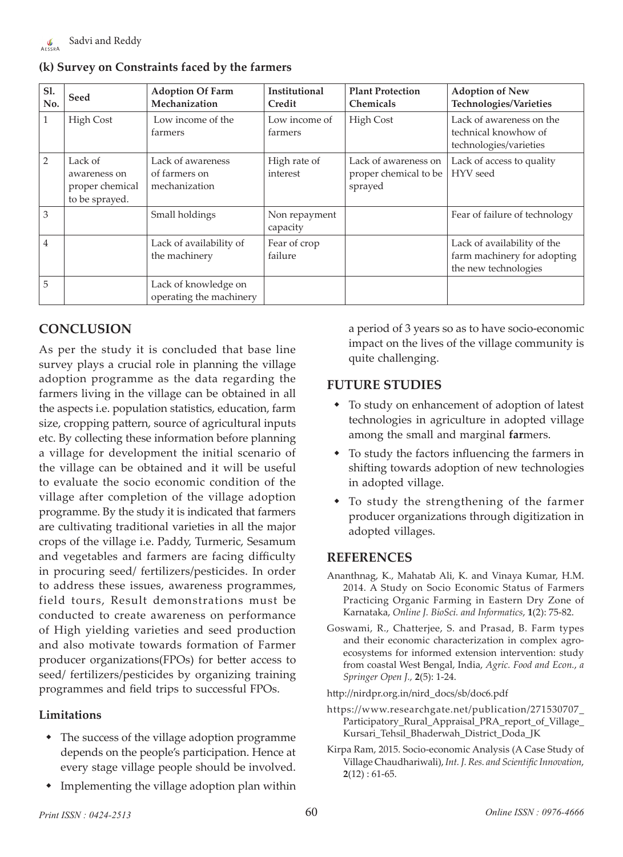|  |  |  |  |  |  | (k) Survey on Constraints faced by the farmers |
|--|--|--|--|--|--|------------------------------------------------|
|--|--|--|--|--|--|------------------------------------------------|

| Sl.<br>No. | Seed                                                         | <b>Adoption Of Farm</b><br>Mechanization            | <b>Institutional</b><br>Credit | <b>Plant Protection</b><br><b>Chemicals</b>              | <b>Adoption of New</b><br>Technologies/Varieties                                   |
|------------|--------------------------------------------------------------|-----------------------------------------------------|--------------------------------|----------------------------------------------------------|------------------------------------------------------------------------------------|
|            | High Cost                                                    | Low income of the<br>farmers                        | Low income of<br>farmers       | <b>High Cost</b>                                         | Lack of awareness on the<br>technical knowhow of<br>technologies/varieties         |
| 2          | Lack of<br>awareness on<br>proper chemical<br>to be sprayed. | Lack of awareness<br>of farmers on<br>mechanization | High rate of<br>interest       | Lack of awareness on<br>proper chemical to be<br>sprayed | Lack of access to quality<br>HYV seed                                              |
| 3          |                                                              | Small holdings                                      | Non repayment<br>capacity      |                                                          | Fear of failure of technology                                                      |
| 4          |                                                              | Lack of availability of<br>the machinery            | Fear of crop<br>failure        |                                                          | Lack of availability of the<br>farm machinery for adopting<br>the new technologies |
| 5          |                                                              | Lack of knowledge on<br>operating the machinery     |                                |                                                          |                                                                                    |

# **CONCLUSION**

As per the study it is concluded that base line survey plays a crucial role in planning the village adoption programme as the data regarding the farmers living in the village can be obtained in all the aspects i.e. population statistics, education, farm size, cropping pattern, source of agricultural inputs etc. By collecting these information before planning a village for development the initial scenario of the village can be obtained and it will be useful to evaluate the socio economic condition of the village after completion of the village adoption programme. By the study it is indicated that farmers are cultivating traditional varieties in all the major crops of the village i.e. Paddy, Turmeric, Sesamum and vegetables and farmers are facing difficulty in procuring seed/ fertilizers/pesticides. In order to address these issues, awareness programmes, field tours, Result demonstrations must be conducted to create awareness on performance of High yielding varieties and seed production and also motivate towards formation of Farmer producer organizations(FPOs) for better access to seed/ fertilizers/pesticides by organizing training programmes and field trips to successful FPOs.

## **Limitations**

- The success of the village adoption programme depends on the people's participation. Hence at every stage village people should be involved.
- Implementing the village adoption plan within

a period of 3 years so as to have socio-economic impact on the lives of the village community is quite challenging.

## **FUTURE STUDIES**

- To study on enhancement of adoption of latest technologies in agriculture in adopted village among the small and marginal **far**mers.
- To study the factors influencing the farmers in shifting towards adoption of new technologies in adopted village.
- To study the strengthening of the farmer producer organizations through digitization in adopted villages.

## **REFERENCES**

- Ananthnag, K., Mahatab Ali, K. and Vinaya Kumar, H.M. 2014. A Study on Socio Economic Status of Farmers Practicing Organic Farming in Eastern Dry Zone of Karnataka, *Online J. BioSci. and Informatics*, **1**(2): 75-82.
- Goswami, R., Chatterjee, S. and Prasad, B. Farm types and their economic characterization in complex agroecosystems for informed extension intervention: study from coastal West Bengal, India, *Agric. Food and Econ.*, *a Springer Open J.,* **2**(5): 1-24.
- http://nirdpr.org.in/nird\_docs/sb/doc6.pdf
- https://www.researchgate.net/publication/271530707\_ Participatory\_Rural\_Appraisal\_PRA\_report\_of\_Village\_ Kursari\_Tehsil\_Bhaderwah\_District\_Doda\_JK
- Kirpa Ram, 2015. Socio-economic Analysis (A Case Study of Village Chaudhariwali), *Int. J. Res. and Scientific Innovation*, **2**(12) : 61-65.